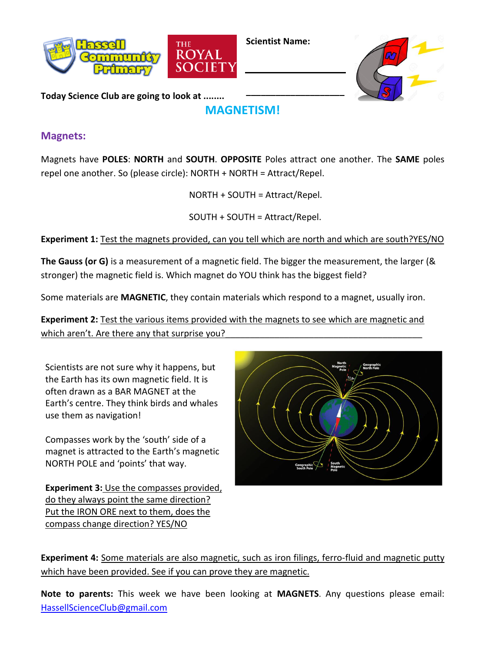

**Scientist Name:**

**\_\_\_\_\_\_\_\_\_\_\_\_\_\_\_\_\_\_\_\_**



**Today Science Club are going to look at ........**

## **MAGNETISM!**

## **Magnets:**

Magnets have **POLES**: **NORTH** and **SOUTH**. **OPPOSITE** Poles attract one another. The **SAME** poles repel one another. So (please circle): NORTH + NORTH = Attract/Repel.

NORTH + SOUTH = Attract/Repel.

SOUTH + SOUTH = Attract/Repel.

## **Experiment 1:** Test the magnets provided, can you tell which are north and which are south?YES/NO

**The Gauss (or G)** is a measurement of a magnetic field. The bigger the measurement, the larger (& stronger) the magnetic field is. Which magnet do YOU think has the biggest field?

Some materials are **MAGNETIC**, they contain materials which respond to a magnet, usually iron.

**Experiment 2: Test the various items provided with the magnets to see which are magnetic and** which aren't. Are there any that surprise you?

Scientists are not sure why it happens, but the Earth has its own magnetic field. It is often drawn as a BAR MAGNET at the Earth's centre. They think birds and whales use them as navigation!

Compasses work by the 'south' side of a magnet is attracted to the Earth's magnetic NORTH POLE and 'points' that way.

**Experiment 3:** Use the compasses provided, do they always point the same direction? Put the IRON ORE next to them, does the compass change direction? YES/NO



**Experiment 4:** Some materials are also magnetic, such as iron filings, ferro-fluid and magnetic putty which have been provided. See if you can prove they are magnetic.

**Note to parents:** This week we have been looking at **MAGNETS**. Any questions please email: [HassellScienceClub@gmail.com](mailto:HassellScienceClub@gmail.com)